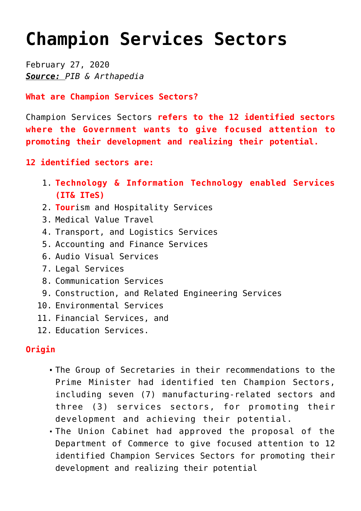## **[Champion Services Sectors](https://journalsofindia.com/champion-services-sectors/)**

February 27, 2020 *Source: PIB & Arthapedia*

**What are Champion Services Sectors?**

Champion Services Sectors **refers to the 12 identified sectors where the Government wants to give focused attention to promoting their development and realizing their potential.** 

- **12 identified sectors are:**
	- 1. **Technology & Information Technology enabled Services (IT& ITeS)**
	- 2. **Tour**ism and Hospitality Services
	- 3. Medical Value Travel
	- 4. Transport, and Logistics Services
	- 5. Accounting and Finance Services
	- 6. Audio Visual Services
	- 7. Legal Services
	- 8. Communication Services
	- 9. Construction, and Related Engineering Services
	- 10. Environmental Services
	- 11. Financial Services, and
	- 12. Education Services.

## **Origin**

- The Group of Secretaries in their recommendations to the Prime Minister had identified ten Champion Sectors, including seven (7) manufacturing-related sectors and three (3) services sectors, for promoting their development and achieving their potential.
- The Union Cabinet had approved the proposal of the Department of Commerce to give focused attention to 12 identified Champion Services Sectors for promoting their development and realizing their potential